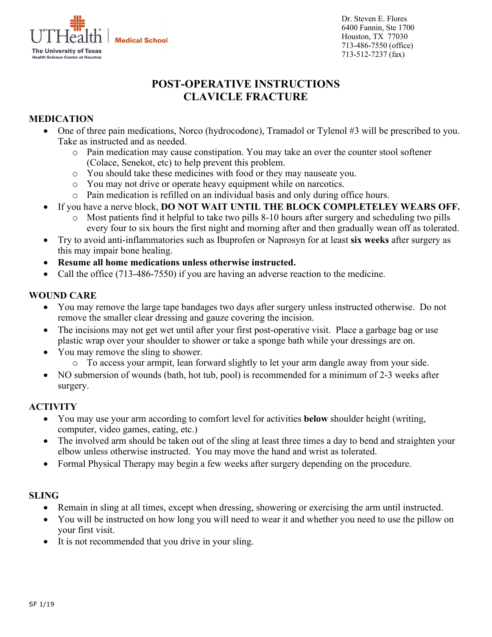

Dr. Steven E. Flores 6400 Fannin, Ste 1700 Houston, TX 77030 713-486-7550 (office) 713-512-7237 (fax)

# **POST-OPERATIVE INSTRUCTIONS CLAVICLE FRACTURE**

## **MEDICATION**

- One of three pain medications, Norco (hydrocodone), Tramadol or Tylenol #3 will be prescribed to you. Take as instructed and as needed.
	- o Pain medication may cause constipation. You may take an over the counter stool softener (Colace, Senekot, etc) to help prevent this problem.
	- o You should take these medicines with food or they may nauseate you.
	- o You may not drive or operate heavy equipment while on narcotics.
	- o Pain medication is refilled on an individual basis and only during office hours.
- If you have a nerve block, **DO NOT WAIT UNTIL THE BLOCK COMPLETELEY WEARS OFF.**
	- Most patients find it helpful to take two pills 8-10 hours after surgery and scheduling two pills every four to six hours the first night and morning after and then gradually wean off as tolerated.
- Try to avoid anti-inflammatories such as Ibuprofen or Naprosyn for at least **six weeks** after surgery as this may impair bone healing.
- **Resume all home medications unless otherwise instructed.**
- Call the office (713-486-7550) if you are having an adverse reaction to the medicine.

#### **WOUND CARE**

- You may remove the large tape bandages two days after surgery unless instructed otherwise. Do not remove the smaller clear dressing and gauze covering the incision.
- The incisions may not get wet until after your first post-operative visit. Place a garbage bag or use plastic wrap over your shoulder to shower or take a sponge bath while your dressings are on.
- You may remove the sling to shower.
	- o To access your armpit, lean forward slightly to let your arm dangle away from your side.
- NO submersion of wounds (bath, hot tub, pool) is recommended for a minimum of 2-3 weeks after surgery.

#### **ACTIVITY**

- You may use your arm according to comfort level for activities **below** shoulder height (writing, computer, video games, eating, etc.)
- The involved arm should be taken out of the sling at least three times a day to bend and straighten your elbow unless otherwise instructed. You may move the hand and wrist as tolerated.
- Formal Physical Therapy may begin a few weeks after surgery depending on the procedure.

#### **SLING**

- Remain in sling at all times, except when dressing, showering or exercising the arm until instructed.
- You will be instructed on how long you will need to wear it and whether you need to use the pillow on your first visit.
- It is not recommended that you drive in your sling.